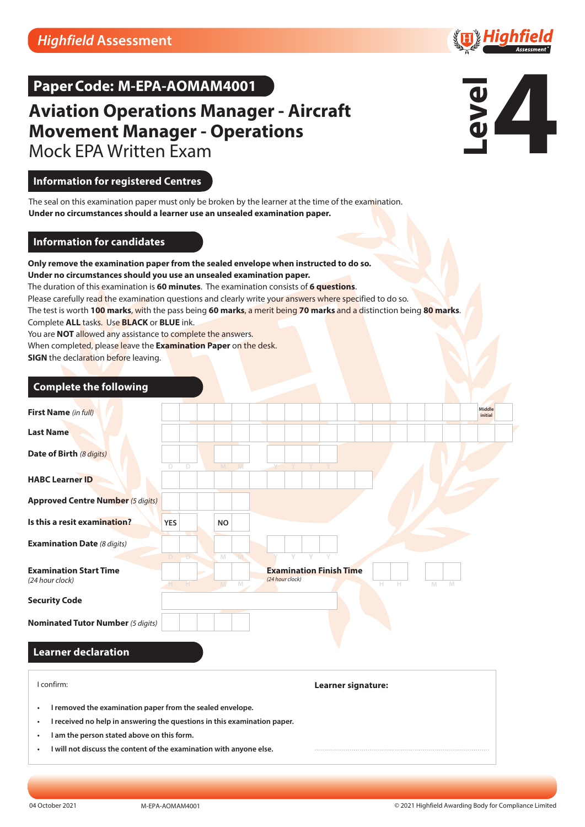

## **Paper Code: M-EPA-AOMAM4001**

# **4 Aviation Operations Manager - Aircraft Movement Manager - Operations**  Mock EPA Written Exam

# **Level**

**Middle initial**

### **Information for registered Centres**

The seal on this examination paper must only be broken by the learner at the time of the examination. **Under no circumstances should a learner use an unsealed examination paper.**

## **Information for candidates**

## **Only remove the examination paper from the sealed envelope when instructed to do so. Under no circumstances should you use an unsealed examination paper.** The duration of this examination is **60 minutes**. The examination consists of **6 questions**. Please carefully read the examination questions and clearly write your answers where specified to do so. The test is worth **100 marks**, with the pass being **60 marks**, a merit being **70 marks** and a distinction being **80 marks**. Complete **ALL** tasks. Use **BLACK** or **BLUE** ink. You are **NOT** allowed any assistance to complete the answers. When completed, please leave the **Examination Paper** on the desk. **SIGN** the declaration before leaving. **Complete the following First Name** *(in full)* **Last Name**

| Date of Birth (8 digits)                                  | D.<br>D    | M<br>$\mathbb{M}$ | $Y - Y - Y$                                       |   |           |                    |   |   |   |  |
|-----------------------------------------------------------|------------|-------------------|---------------------------------------------------|---|-----------|--------------------|---|---|---|--|
| <b>HABC Learner ID</b>                                    |            |                   |                                                   |   |           |                    |   |   |   |  |
| <b>Approved Centre Number (5 digits)</b>                  |            |                   |                                                   |   |           |                    |   |   |   |  |
| Is this a resit examination?                              | <b>YES</b> | <b>NO</b>         |                                                   |   |           |                    |   |   |   |  |
| <b>Examination Date (8 digits)</b>                        | D.<br>$-D$ | M<br><b>M</b>     | Y                                                 | V | $\bigvee$ |                    |   |   |   |  |
| <b>Examination Start Time</b><br>(24 hour clock)          | H          | M<br>M            | <b>Examination Finish Time</b><br>(24 hour clock) |   |           | H.                 | н | M | M |  |
| <b>Security Code</b>                                      |            |                   |                                                   |   |           |                    |   |   |   |  |
| <b>Nominated Tutor Number (5 digits)</b>                  |            |                   |                                                   |   |           |                    |   |   |   |  |
| <b>Learner declaration</b>                                |            |                   |                                                   |   |           |                    |   |   |   |  |
| I confirm:                                                |            |                   |                                                   |   |           | Learner signature: |   |   |   |  |
| I removed the examination paper from the sealed envelope. |            |                   |                                                   |   |           |                    |   |   |   |  |

- **• I received no help in answering the questions in this examination paper.**
- **• I am the person stated above on this form.**
- **• I will not discuss the content of the examination with anyone else.**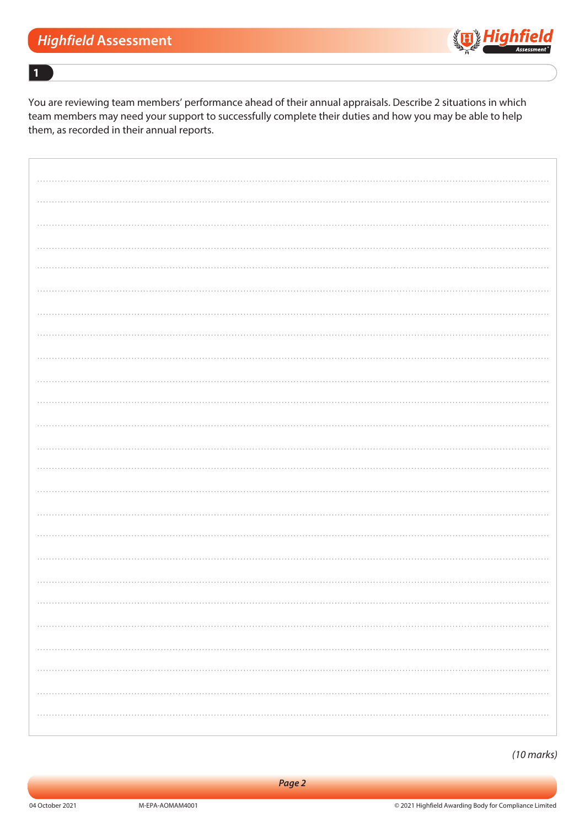

You are reviewing team members' performance ahead of their annual appraisals. Describe 2 situations in which team members may need your support to successfully complete their duties and how you may be able to help them, as recorded in their annual reports.

| $\cdots$       |
|----------------|
|                |
|                |
|                |
|                |
|                |
| $\cdots$       |
| $- - - - -$    |
|                |
| $\cdots$       |
|                |
|                |
|                |
|                |
|                |
|                |
|                |
|                |
| .              |
|                |
| .              |
|                |
| $\cdots\cdots$ |
| $\cdots$       |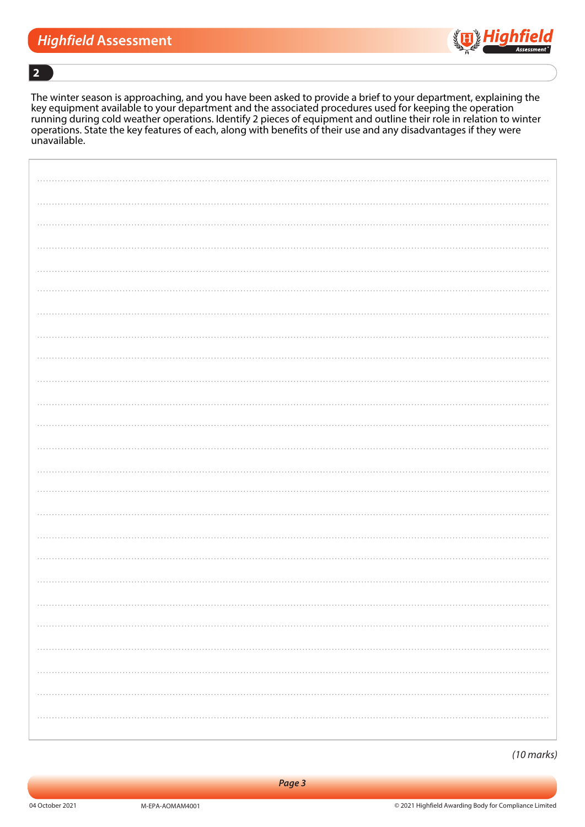

The winter season is approaching, and you have been asked to provide a brief to your department, explaining the key equipment available to your department and the associated procedures used for keeping the operation running during cold weather operations. Identify 2 pieces of equipment and outline their role in relation to winter operations. State the key features of each, along with benefits of their use and any disadvantages if they were unavailable.

| $\cdots$       |
|----------------|
| $\cdots$       |
|                |
|                |
|                |
|                |
|                |
|                |
|                |
|                |
| .              |
|                |
|                |
| .<br>$- + - +$ |
|                |
|                |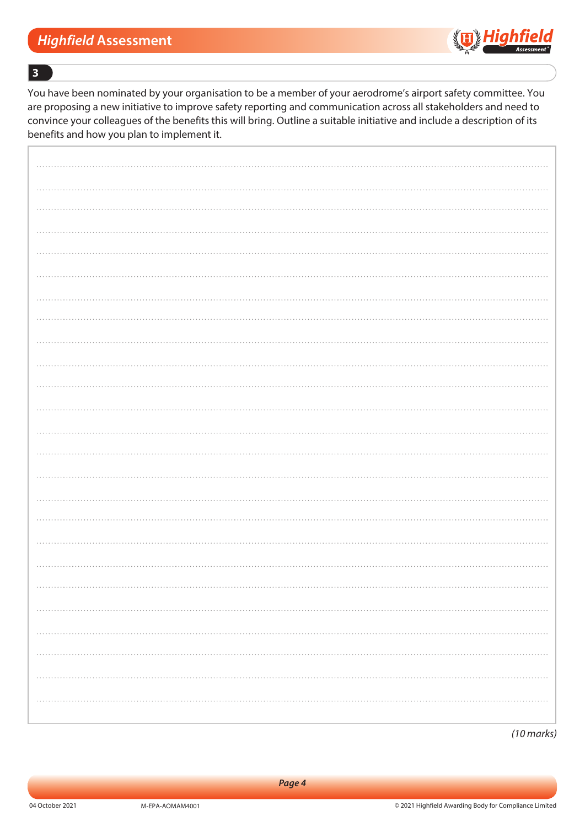

You have been nominated by your organisation to be a member of your aerodrome's airport safety committee. You are proposing a new initiative to improve safety reporting and communication across all stakeholders and need to convince your colleagues of the benefits this will bring. Outline a suitable initiative and include a description of its benefits and how you plan to implement it.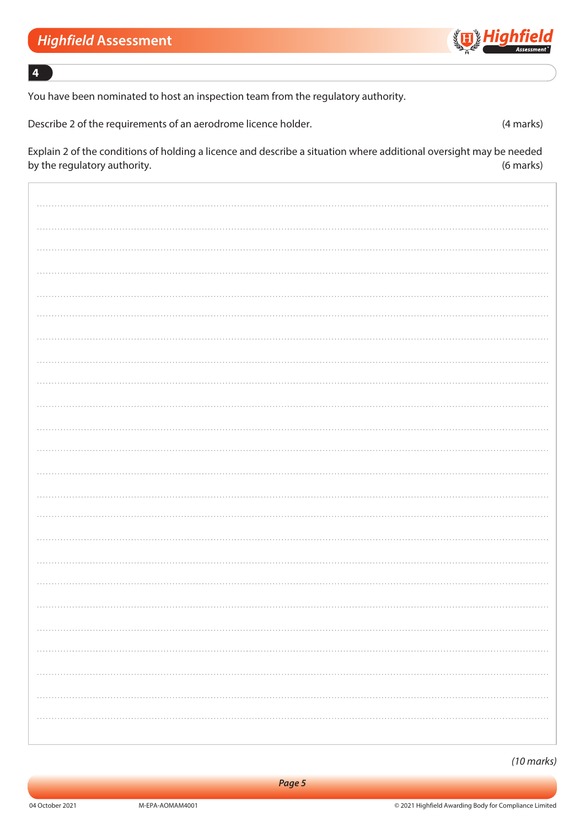

You have been nominated to host an inspection team from the regulatory authority.

Describe 2 of the requirements of an aerodrome licence holder. (4 marks)

Explain 2 of the conditions of holding a licence and describe a situation where additional oversight may be needed by the regulatory authority. (6 marks)

| $\cdots$     |
|--------------|
|              |
|              |
|              |
|              |
|              |
|              |
|              |
|              |
|              |
| $-1 - 1 - 1$ |
|              |
|              |
|              |
|              |
|              |
|              |
| .            |
|              |
|              |
|              |
|              |
|              |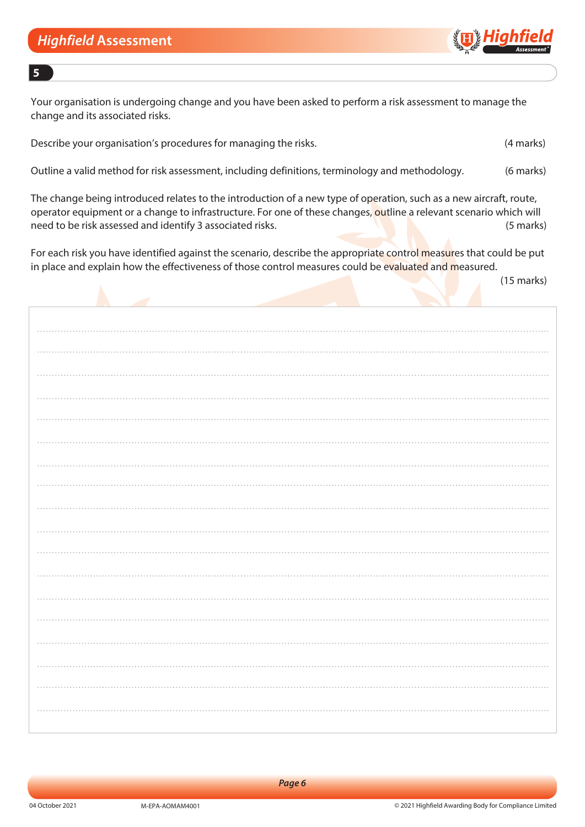#### **5**

Your organisation is undergoing change and you have been asked to perform a risk assessment to manage the change and its associated risks.

Describe your organisation's procedures for managing the risks. (4 marks)

Outline a valid method for risk assessment, including definitions, terminology and methodology.  $(6$  marks $)$ 

The change being introduced relates to the introduction of a new type of operation, such as a new aircraft, route, operator equipment or a change to infrastructure. For one of these changes, outline a relevant scenario which will need to be risk assessed and identify 3 associated risks. (5 marks)

For each risk you have identified against the scenario, describe the appropriate control measures that could be put in place and explain how the effectiveness of those control measures could be evaluated and measured.

 $(15$  marks)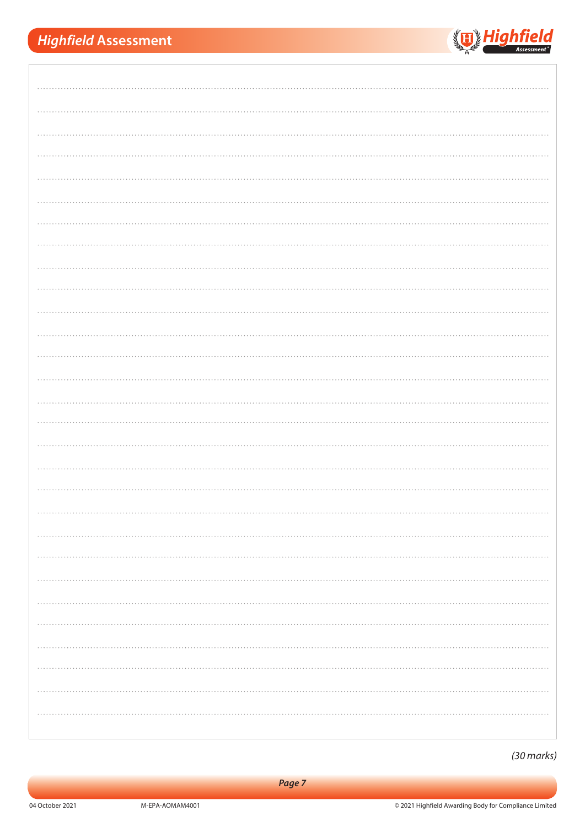

*(30 marks)*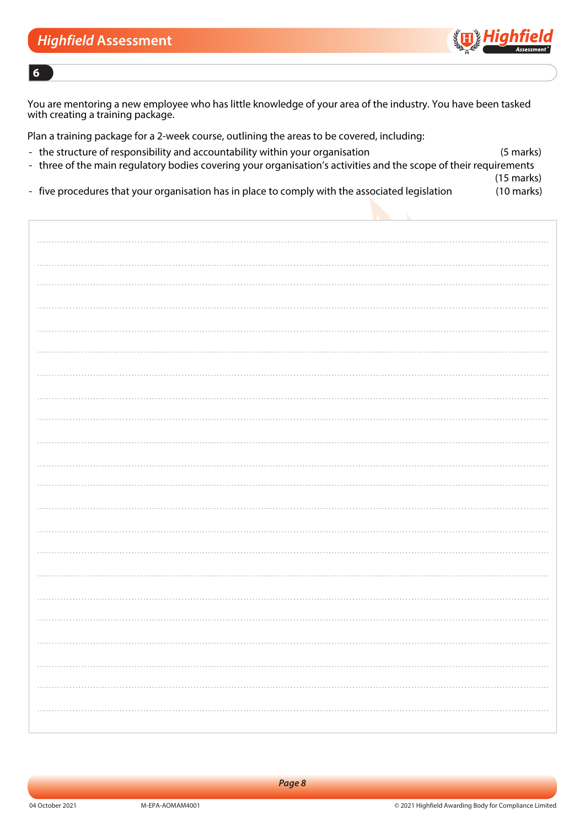

#### **6**

You are mentoring a new employee who has little knowledge of your area of the industry. You have been tasked with creating a training package.

Plan a training package for a 2-week course, outlining the areas to be covered, including:

- the structure of responsibility and accountability within your organisation (5 marks) - three of the main regulatory bodies covering your organisation's activities and the scope of their requirements (15 marks) - five procedures that your organisation has in place to comply with the associated legislation (10 marks)

| $\cdots$                          |
|-----------------------------------|
| $\cdots$                          |
|                                   |
| $\alpha \rightarrow \alpha \beta$ |
| $\cdots$                          |
|                                   |
| $\alpha$ , $\alpha$ , $\alpha$    |
| $\cdots$                          |
|                                   |
| $\cdots$                          |
|                                   |
| $\cdots$                          |
| $\sim$ $\sim$                     |
| $\cdots$                          |
|                                   |
|                                   |
| $\cdots$                          |
| $\cdots$                          |
|                                   |
|                                   |
|                                   |
|                                   |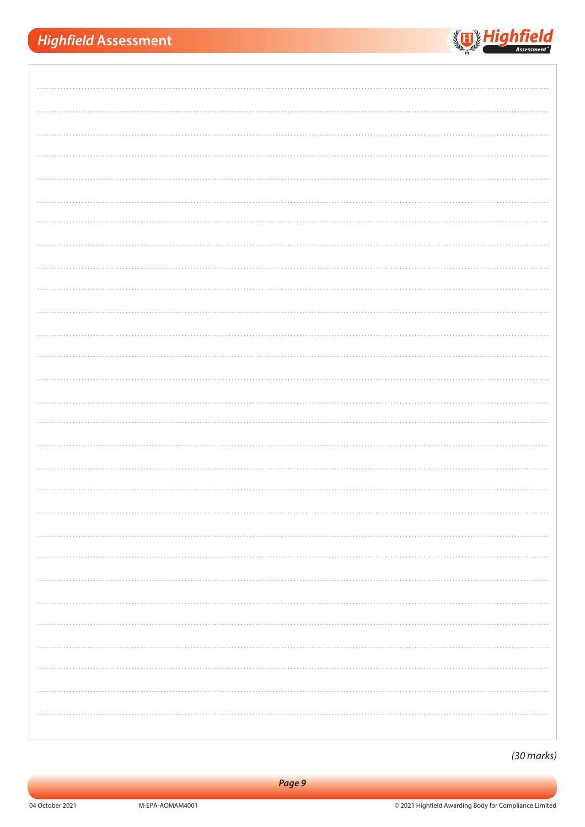

*(30 marks)*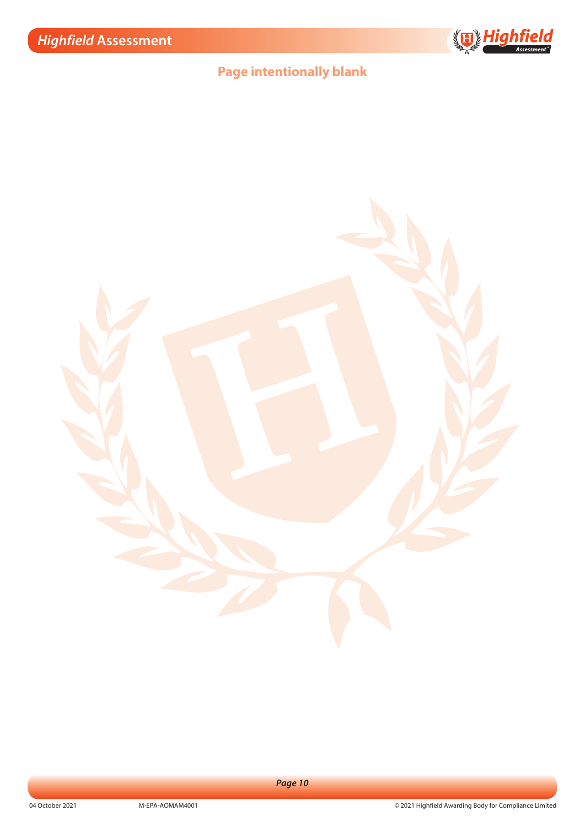

# **Page intentionally blank**



*Page 10*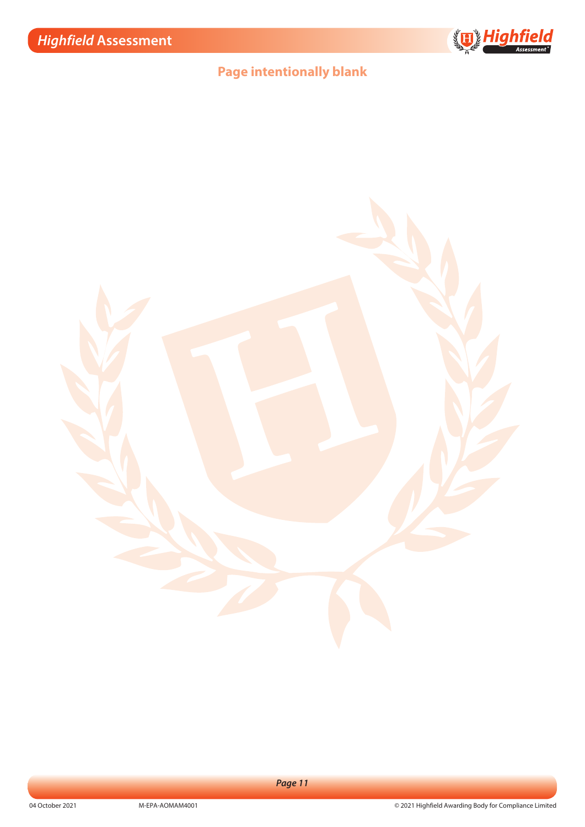

# **Page intentionally blank**